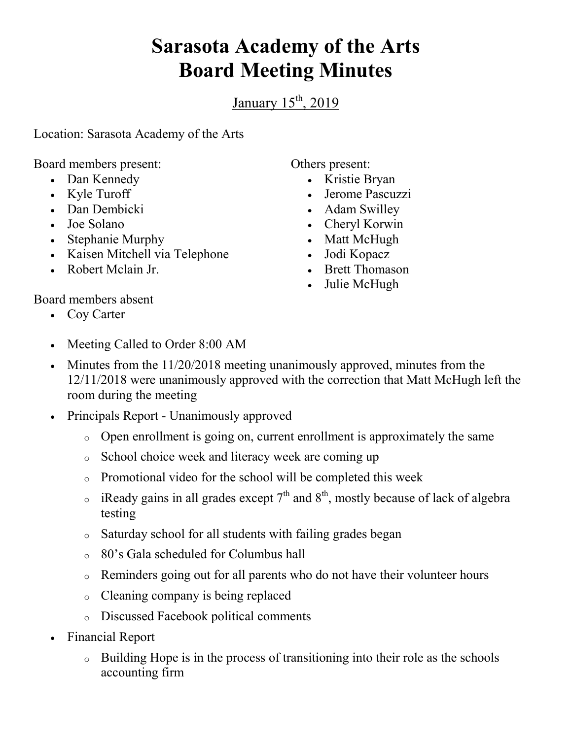## **Sarasota Academy of the Arts Board Meeting Minutes**

January  $15<sup>th</sup>$ , 2019

Location: Sarasota Academy of the Arts

Board members present:

- Dan Kennedy
- Kyle Turoff
- Dan Dembicki
- Joe Solano
- Stephanie Murphy
- Kaisen Mitchell via Telephone
- Robert Mclain Jr.

Others present:

- Kristie Bryan
- Jerome Pascuzzi
- Adam Swilley
- Cheryl Korwin
- Matt McHugh
- Jodi Kopacz
- Brett Thomason
- Julie McHugh

Board members absent

- Coy Carter
- Meeting Called to Order 8:00 AM
- Minutes from the 11/20/2018 meeting unanimously approved, minutes from the 12/11/2018 were unanimously approved with the correction that Matt McHugh left the room during the meeting
- Principals Report Unanimously approved
	- o Open enrollment is going on, current enrollment is approximately the same
	- o School choice week and literacy week are coming up
	- o Promotional video for the school will be completed this week
	- $\circ$  iReady gains in all grades except 7<sup>th</sup> and 8<sup>th</sup>, mostly because of lack of algebra testing
	- o Saturday school for all students with failing grades began
	- o 80's Gala scheduled for Columbus hall
	- o Reminders going out for all parents who do not have their volunteer hours
	- o Cleaning company is being replaced
	- o Discussed Facebook political comments
- Financial Report
	- o Building Hope is in the process of transitioning into their role as the schools accounting firm